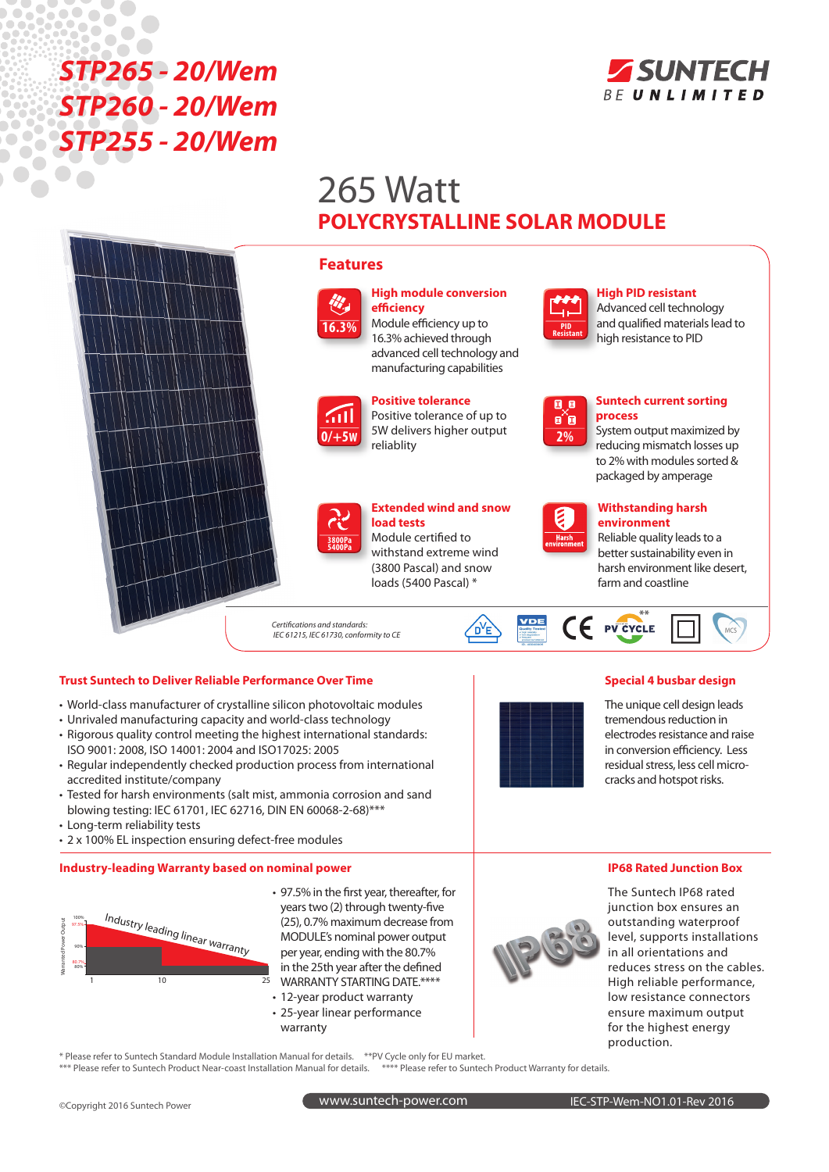# $\sqrt{2}$  $\bullet$ E Ch *STP265 - 20/Wem STP260 - 20/Wem STP255 - 20/Wem*



# 265 Watt **POLYCRYSTALLINE SOLAR MODULE**





**High module conversion efficiency**

Module efficiency up to 16.3% achieved through advanced cell technology and manufacturing capabilities



**Positive tolerance** Positive tolerance of up to 5W delivers higher output reliablity



## **Extended wind and snow load tests**

Module certified to withstand extreme wind (3800 Pascal) and snow loads (5400 Pascal) \*

*Certifications and standards: IEC 61215, IEC 61730, conformity to CE*

### **Trust Suntech to Deliver Reliable Performance Over Time Special 4 busbar design**

- World-class manufacturer of crystalline silicon photovoltaic modules
- • Unrivaled manufacturing capacity and world-class technology
- Rigorous quality control meeting the highest international standards: ISO 9001: 2008, ISO 14001: 2004 and ISO17025: 2005
- Regular independently checked production process from international accredited institute/company
- Tested for harsh environments (salt mist, ammonia corrosion and sand blowing testing: IEC 61701, IEC 62716, DIN EN 60068-2-68)\*\*\*
- Long-term reliability tests
- 2 x 100% EL inspection ensuring defect-free modules

#### **Industry-leading Warranty based on nominal power**



- 97.5% in the first year, thereafter, for years two (2) through twenty-five (25), 0.7% maximum decrease from MODULE's nominal power output per year, ending with the 80.7% in the 25th year after the defined WARRANTY STARTING DATE.\*\*\*\*
- 12-year product warranty
- 25-year linear performance
- warranty

The Suntech IP68 rated junction box ensures an outstanding waterproof level, supports installations in all orientations and reduces stress on the cables. High reliable performance, low resistance connectors ensure maximum output for the highest energy production.

\* Please refer to Suntech Standard Module Installation Manual for details. \*\*PV Cycle only for EU market. \*\*\* Please refer to Suntech Product Near-coast Installation Manual for details. \*\*\*\*\* Please refer to Suntech Product Warranty for details.





**process**

 $MCS$ 

**Suntech current sorting** 

**High PID resistant**  Advanced cell technology and qualified materials lead to high resistance to PID

System output maximized by reducing mismatch losses up to 2% with modules sorted & packaged by amperage

**Withstanding harsh environment**

farm and coastline

Reliable quality leads to a better sustainability even in harsh environment like desert,

The unique cell design leads tremendous reduction in electrodes resistance and raise in conversion efficiency. Less residual stress, less cell microcracks and hotspot risks.

### **IP68 Rated Junction Box**



**2%**

0,0 e^e

**PID Resistant**